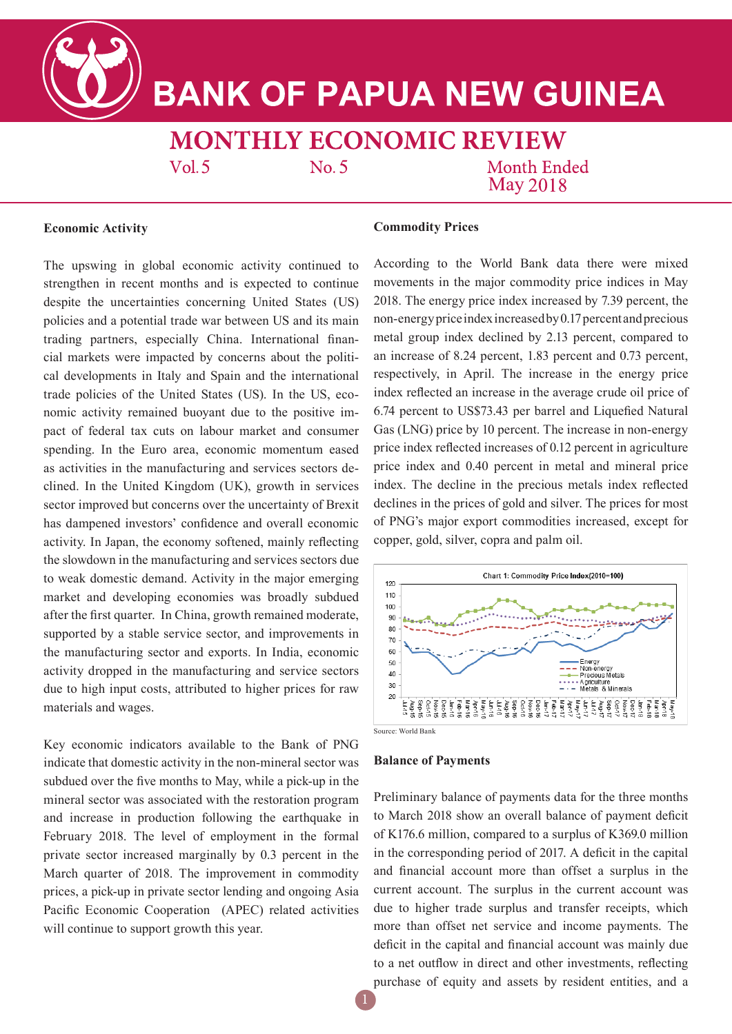**BANK OF PAPUA NEW GUINEA** 

**MONTHLY ECONOMIC REVIEW** 

 $Vol.5$ 

 $No. 5$ 

**Month Ended May 2018** 

# **Economic Activity**

The upswing in global economic activity continued to strengthen in recent months and is expected to continue despite the uncertainties concerning United States (US) policies and a potential trade war between US and its main trading partners, especially China. International financial markets were impacted by concerns about the political developments in Italy and Spain and the international trade policies of the United States (US). In the US, economic activity remained buoyant due to the positive impact of federal tax cuts on labour market and consumer spending. In the Euro area, economic momentum eased as activities in the manufacturing and services sectors declined. In the United Kingdom (UK), growth in services sector improved but concerns over the uncertainty of Brexit has dampened investors' confidence and overall economic activity. In Japan, the economy softened, mainly reflecting the slowdown in the manufacturing and services sectors due to weak domestic demand. Activity in the major emerging market and developing economies was broadly subdued after the first quarter. In China, growth remained moderate, supported by a stable service sector, and improvements in the manufacturing sector and exports. In India, economic activity dropped in the manufacturing and service sectors due to high input costs, attributed to higher prices for raw materials and wages.

Key economic indicators available to the Bank of PNG indicate that domestic activity in the non-mineral sector was subdued over the five months to May, while a pick-up in the mineral sector was associated with the restoration program and increase in production following the earthquake in February 2018. The level of employment in the formal private sector increased marginally by 0.3 percent in the March quarter of 2018. The improvement in commodity prices, a pick-up in private sector lending and ongoing Asia Pacific Economic Cooperation (APEC) related activities will continue to support growth this year.

## **Commodity Prices**

According to the World Bank data there were mixed movements in the major commodity price indices in May 2018. The energy price index increased by 7.39 percent, the non-energy price index increased by 0.17 percent and precious metal group index declined by 2.13 percent, compared to an increase of 8.24 percent, 1.83 percent and 0.73 percent, respectively, in April. The increase in the energy price index reflected an increase in the average crude oil price of 6.74 percent to US\$73.43 per barrel and Liquefied Natural Gas (LNG) price by 10 percent. The increase in non-energy price index reflected increases of 0.12 percent in agriculture price index and 0.40 percent in metal and mineral price index. The decline in the precious metals index reflected declines in the prices of gold and silver. The prices for most of PNG's major export commodities increased, except for copper, gold, silver, copra and palm oil.



#### **Balance of Payments**

Preliminary balance of payments data for the three months to March 2018 show an overall balance of payment deficit of K176.6 million, compared to a surplus of K369.0 million in the corresponding period of 2017. A deficit in the capital and financial account more than offset a surplus in the current account. The surplus in the current account was due to higher trade surplus and transfer receipts, which more than offset net service and income payments. The deficit in the capital and financial account was mainly due to a net outflow in direct and other investments, reflecting purchase of equity and assets by resident entities, and a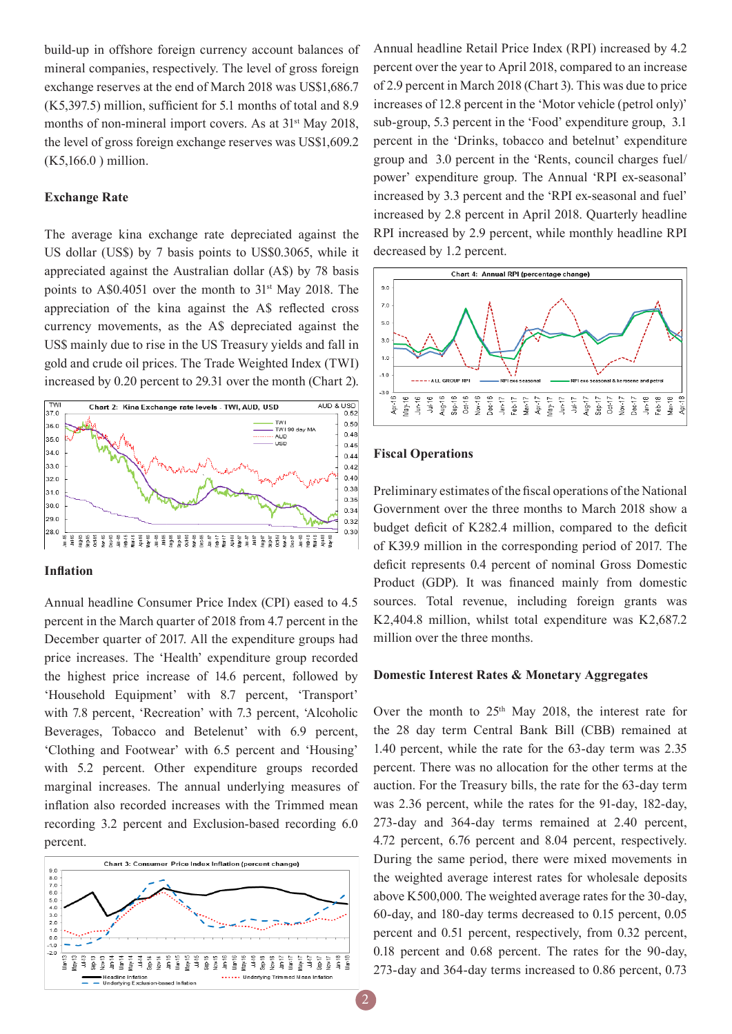build-up in offshore foreign currency account balances of mineral companies, respectively. The level of gross foreign exchange reserves at the end of March 2018 was US\$1,686.7 (K5,397.5) million, sufficient for 5.1 months of total and 8.9 months of non-mineral import covers. As at 31<sup>st</sup> May 2018, the level of gross foreign exchange reserves was US\$1,609.2 (K5,166.0 ) million.

# **Exchange Rate**

The average kina exchange rate depreciated against the US dollar (US\$) by 7 basis points to US\$0.3065, while it appreciated against the Australian dollar (A\$) by 78 basis points to A\$0.4051 over the month to 31<sup>st</sup> May 2018. The appreciation of the kina against the A\$ reflected cross currency movements, as the A\$ depreciated against the US\$ mainly due to rise in the US Treasury yields and fall in gold and crude oil prices. The Trade Weighted Index (TWI) increased by 0.20 percent to 29.31 over the month (Chart 2).



### **Inflation**

Annual headline Consumer Price Index (CPI) eased to 4.5 percent in the March quarter of 2018 from 4.7 percent in the December quarter of 2017. All the expenditure groups had price increases. The 'Health' expenditure group recorded the highest price increase of 14.6 percent, followed by 'Household Equipment' with 8.7 percent, 'Transport' with 7.8 percent, 'Recreation' with 7.3 percent, 'Alcoholic Beverages, Tobacco and Betelenut' with 6.9 percent, 'Clothing and Footwear' with 6.5 percent and 'Housing' with 5.2 percent. Other expenditure groups recorded marginal increases. The annual underlying measures of inflation also recorded increases with the Trimmed mean recording 3.2 percent and Exclusion-based recording 6.0 percent.



Annual headline Retail Price Index (RPI) increased by 4.2 percent over the year to April 2018, compared to an increase of 2.9 percent in March 2018 (Chart 3). This was due to price increases of 12.8 percent in the 'Motor vehicle (petrol only)' sub-group, 5.3 percent in the 'Food' expenditure group, 3.1 percent in the 'Drinks, tobacco and betelnut' expenditure group and 3.0 percent in the 'Rents, council charges fuel/ power' expenditure group. The Annual 'RPI ex-seasonal' increased by 3.3 percent and the 'RPI ex-seasonal and fuel' increased by 2.8 percent in April 2018. Quarterly headline RPI increased by 2.9 percent, while monthly headline RPI decreased by 1.2 percent.



## **Fiscal Operations**

Preliminary estimates of the fiscal operations of the National Government over the three months to March 2018 show a budget deficit of K282.4 million, compared to the deficit of K39.9 million in the corresponding period of 2017. The deficit represents 0.4 percent of nominal Gross Domestic Product (GDP). It was financed mainly from domestic sources. Total revenue, including foreign grants was K2,404.8 million, whilst total expenditure was K2,687.2 million over the three months.

#### **Domestic Interest Rates & Monetary Aggregates**

Over the month to  $25<sup>th</sup>$  May 2018, the interest rate for the 28 day term Central Bank Bill (CBB) remained at 1.40 percent, while the rate for the 63-day term was 2.35 percent. There was no allocation for the other terms at the auction. For the Treasury bills, the rate for the 63-day term was 2.36 percent, while the rates for the 91-day, 182-day, 273-day and 364-day terms remained at 2.40 percent, 4.72 percent, 6.76 percent and 8.04 percent, respectively. During the same period, there were mixed movements in the weighted average interest rates for wholesale deposits above K500,000. The weighted average rates for the 30-day, 60-day, and 180-day terms decreased to 0.15 percent, 0.05 percent and 0.51 percent, respectively, from 0.32 percent, 0.18 percent and 0.68 percent. The rates for the 90-day, 273-day and 364-day terms increased to 0.86 percent, 0.73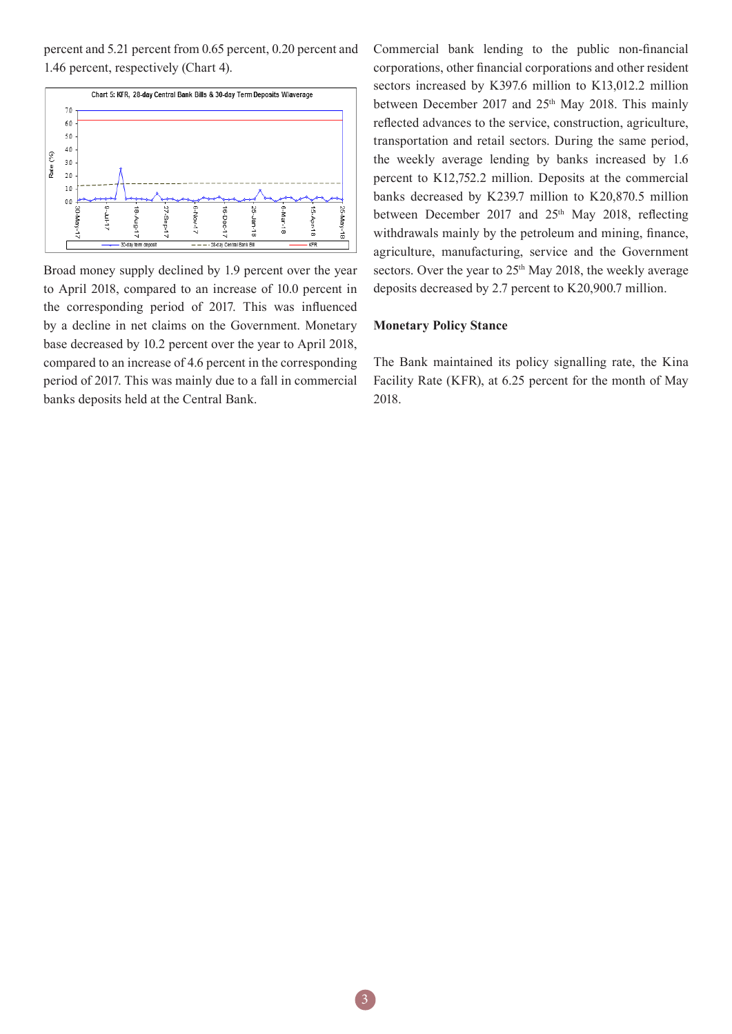percent and 5.21 percent from 0.65 percent, 0.20 percent and 1.46 percent, respectively (Chart 4).



Broad money supply declined by 1.9 percent over the year to April 2018, compared to an increase of 10.0 percent in the corresponding period of 2017. This was influenced by a decline in net claims on the Government. Monetary base decreased by 10.2 percent over the year to April 2018, compared to an increase of 4.6 percent in the corresponding period of 2017. This was mainly due to a fall in commercial banks deposits held at the Central Bank.

Commercial bank lending to the public non-financial corporations, other financial corporations and other resident sectors increased by K397.6 million to K13,012.2 million between December 2017 and 25<sup>th</sup> May 2018. This mainly reflected advances to the service, construction, agriculture, transportation and retail sectors. During the same period, the weekly average lending by banks increased by 1.6 percent to K12,752.2 million. Deposits at the commercial banks decreased by K239.7 million to K20,870.5 million between December 2017 and 25<sup>th</sup> May 2018, reflecting withdrawals mainly by the petroleum and mining, finance, agriculture, manufacturing, service and the Government sectors. Over the year to 25<sup>th</sup> May 2018, the weekly average deposits decreased by 2.7 percent to K20,900.7 million.

#### **Monetary Policy Stance**

The Bank maintained its policy signalling rate, the Kina Facility Rate (KFR), at 6.25 percent for the month of May 2018.